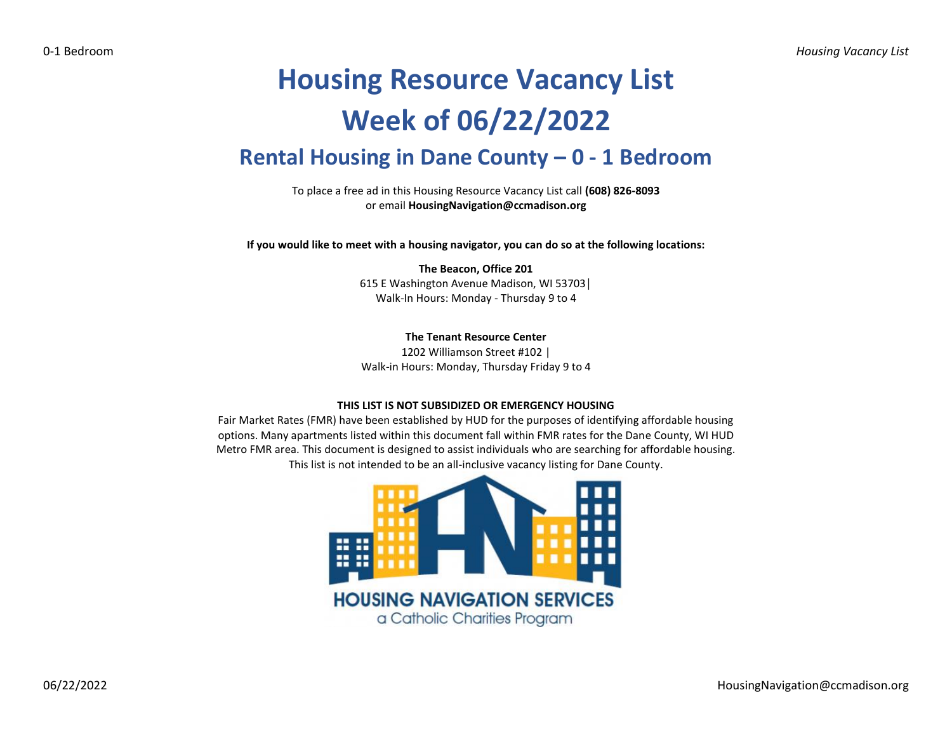# **Housing Resource Vacancy List Week of 06/22/2022 Rental Housing in Dane County – 0 - 1 Bedroom**

To place a free ad in this Housing Resource Vacancy List call **(608) 826-8093** or email **HousingNavigation@ccmadison.org**

**If you would like to meet with a housing navigator, you can do so at the following locations:**

**The Beacon, Office 201** 615 E Washington Avenue Madison, WI 53703│ Walk-In Hours: Monday - Thursday 9 to 4

**The Tenant Resource Center**

1202 Williamson Street #102 | Walk-in Hours: Monday, Thursday Friday 9 to 4

### **THIS LIST IS NOT SUBSIDIZED OR EMERGENCY HOUSING**

Fair Market Rates (FMR) have been established by HUD for the purposes of identifying affordable housing options. Many apartments listed within this document fall within FMR rates for the Dane County, WI HUD Metro FMR area. This document is designed to assist individuals who are searching for affordable housing. This list is not intended to be an all-inclusive vacancy listing for Dane County.

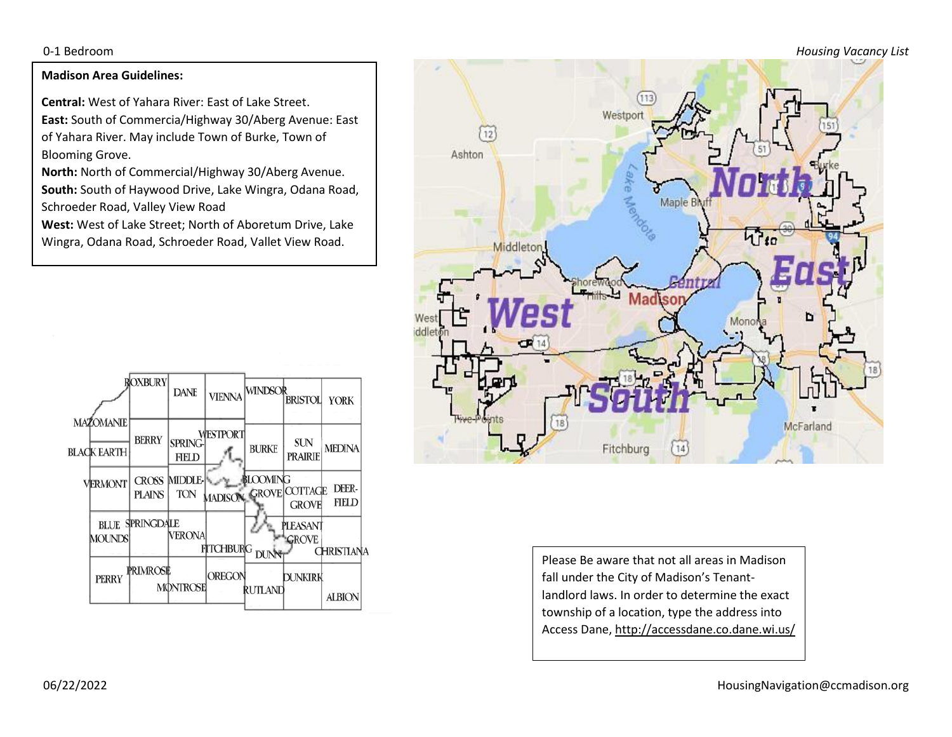0-1 Bedroom *Housing Vacancy List*

## **Madison Area Guidelines:**

**Central:** West of Yahara River: East of Lake Street. **East:** South of Commercia/Highway 30/Aberg Avenue: East of Yahara River. May include Town of Burke, Town of Blooming Grove.

**North:** North of Commercial/Highway 30/Aberg Avenue. **South:** South of Haywood Drive, Lake Wingra, Odana Road, Schroeder Road, Valley View Road

**West:** West of Lake Street; North of Aboretum Drive, Lake Wingra, Odana Road, Schroeder Road, Vallet View Road.





Please Be aware that not all areas in Madison fall under the City of Madison's Tenantlandlord laws. In order to determine the exact township of a location, type the address into Access Dane, http://accessdane.co.dane.wi.us/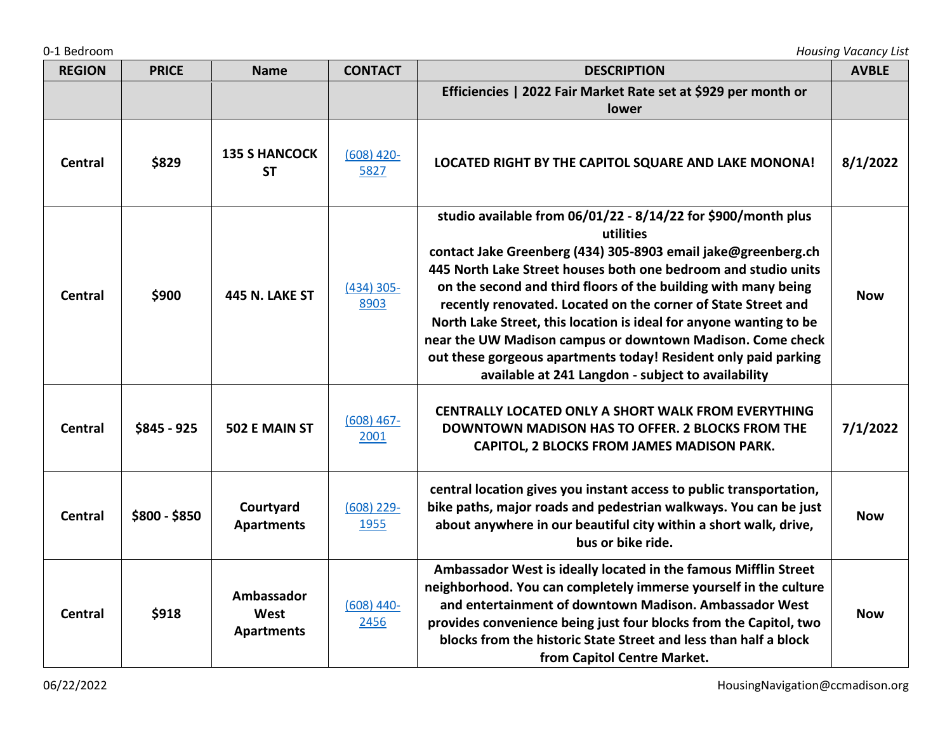| <b>REGION</b>  | <b>PRICE</b>  | <b>Name</b>                             | <b>CONTACT</b>       | <b>DESCRIPTION</b>                                                                                                                                                                                                                                                                                                                                                                                                                                                                                                                                                                                            | <b>AVBLE</b> |
|----------------|---------------|-----------------------------------------|----------------------|---------------------------------------------------------------------------------------------------------------------------------------------------------------------------------------------------------------------------------------------------------------------------------------------------------------------------------------------------------------------------------------------------------------------------------------------------------------------------------------------------------------------------------------------------------------------------------------------------------------|--------------|
|                |               |                                         |                      | Efficiencies   2022 Fair Market Rate set at \$929 per month or<br>lower                                                                                                                                                                                                                                                                                                                                                                                                                                                                                                                                       |              |
| <b>Central</b> | \$829         | <b>135 S HANCOCK</b><br><b>ST</b>       | $(608)$ 420-<br>5827 | LOCATED RIGHT BY THE CAPITOL SQUARE AND LAKE MONONA!                                                                                                                                                                                                                                                                                                                                                                                                                                                                                                                                                          | 8/1/2022     |
| Central        | \$900         | <b>445 N. LAKE ST</b>                   | $(434)$ 305-<br>8903 | studio available from 06/01/22 - 8/14/22 for \$900/month plus<br>utilities<br>contact Jake Greenberg (434) 305-8903 email jake@greenberg.ch<br>445 North Lake Street houses both one bedroom and studio units<br>on the second and third floors of the building with many being<br>recently renovated. Located on the corner of State Street and<br>North Lake Street, this location is ideal for anyone wanting to be<br>near the UW Madison campus or downtown Madison. Come check<br>out these gorgeous apartments today! Resident only paid parking<br>available at 241 Langdon - subject to availability | <b>Now</b>   |
| <b>Central</b> | \$845 - 925   | 502 E MAIN ST                           | $(608)$ 467-<br>2001 | CENTRALLY LOCATED ONLY A SHORT WALK FROM EVERYTHING<br>DOWNTOWN MADISON HAS TO OFFER. 2 BLOCKS FROM THE<br>CAPITOL, 2 BLOCKS FROM JAMES MADISON PARK.                                                                                                                                                                                                                                                                                                                                                                                                                                                         | 7/1/2022     |
| <b>Central</b> | \$800 - \$850 | Courtyard<br><b>Apartments</b>          | $(608)$ 229-<br>1955 | central location gives you instant access to public transportation,<br>bike paths, major roads and pedestrian walkways. You can be just<br>about anywhere in our beautiful city within a short walk, drive,<br>bus or bike ride.                                                                                                                                                                                                                                                                                                                                                                              | <b>Now</b>   |
| <b>Central</b> | \$918         | Ambassador<br>West<br><b>Apartments</b> | $(608)$ 440-<br>2456 | Ambassador West is ideally located in the famous Mifflin Street<br>neighborhood. You can completely immerse yourself in the culture<br>and entertainment of downtown Madison. Ambassador West<br>provides convenience being just four blocks from the Capitol, two<br>blocks from the historic State Street and less than half a block                                                                                                                                                                                                                                                                        | <b>Now</b>   |

**from Capitol Centre Market.**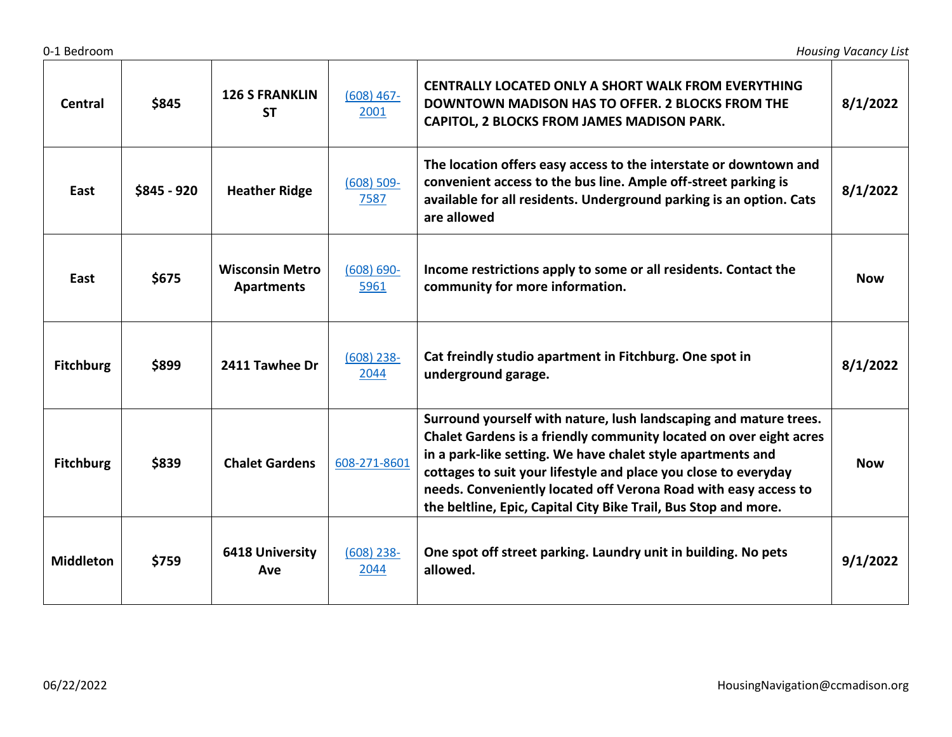| Central          | \$845       | <b>126 S FRANKLIN</b><br><b>ST</b>          | $(608)$ 467-<br>2001  | CENTRALLY LOCATED ONLY A SHORT WALK FROM EVERYTHING<br><b>DOWNTOWN MADISON HAS TO OFFER. 2 BLOCKS FROM THE</b><br>CAPITOL, 2 BLOCKS FROM JAMES MADISON PARK.                                                                                                                                                                                                                                                    | 8/1/2022   |
|------------------|-------------|---------------------------------------------|-----------------------|-----------------------------------------------------------------------------------------------------------------------------------------------------------------------------------------------------------------------------------------------------------------------------------------------------------------------------------------------------------------------------------------------------------------|------------|
| East             | \$845 - 920 | <b>Heather Ridge</b>                        | $(608) 509 -$<br>7587 | The location offers easy access to the interstate or downtown and<br>convenient access to the bus line. Ample off-street parking is<br>available for all residents. Underground parking is an option. Cats<br>are allowed                                                                                                                                                                                       | 8/1/2022   |
| East             | \$675       | <b>Wisconsin Metro</b><br><b>Apartments</b> | $(608) 690 -$<br>5961 | Income restrictions apply to some or all residents. Contact the<br>community for more information.                                                                                                                                                                                                                                                                                                              | <b>Now</b> |
| <b>Fitchburg</b> | \$899       | 2411 Tawhee Dr                              | $(608)$ 238-<br>2044  | Cat freindly studio apartment in Fitchburg. One spot in<br>underground garage.                                                                                                                                                                                                                                                                                                                                  | 8/1/2022   |
| <b>Fitchburg</b> | \$839       | <b>Chalet Gardens</b>                       | 608-271-8601          | Surround yourself with nature, lush landscaping and mature trees.<br>Chalet Gardens is a friendly community located on over eight acres<br>in a park-like setting. We have chalet style apartments and<br>cottages to suit your lifestyle and place you close to everyday<br>needs. Conveniently located off Verona Road with easy access to<br>the beltline, Epic, Capital City Bike Trail, Bus Stop and more. | <b>Now</b> |
| <b>Middleton</b> | \$759       | <b>6418 University</b><br>Ave               | $(608)$ 238-<br>2044  | One spot off street parking. Laundry unit in building. No pets<br>allowed.                                                                                                                                                                                                                                                                                                                                      | 9/1/2022   |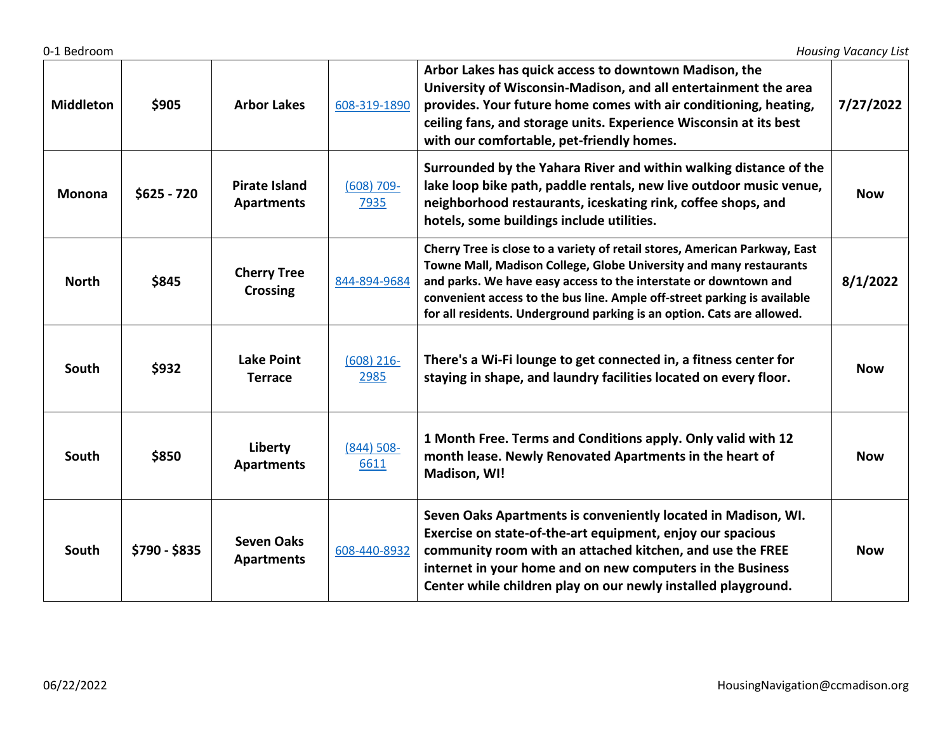| <b>Middleton</b> | \$905         | <b>Arbor Lakes</b>                        | 608-319-1890          | Arbor Lakes has quick access to downtown Madison, the<br>University of Wisconsin-Madison, and all entertainment the area<br>provides. Your future home comes with air conditioning, heating,<br>ceiling fans, and storage units. Experience Wisconsin at its best<br>with our comfortable, pet-friendly homes.                                                             | 7/27/2022  |
|------------------|---------------|-------------------------------------------|-----------------------|----------------------------------------------------------------------------------------------------------------------------------------------------------------------------------------------------------------------------------------------------------------------------------------------------------------------------------------------------------------------------|------------|
| Monona           | $$625 - 720$  | <b>Pirate Island</b><br><b>Apartments</b> | $(608) 709 -$<br>7935 | Surrounded by the Yahara River and within walking distance of the<br>lake loop bike path, paddle rentals, new live outdoor music venue,<br>neighborhood restaurants, iceskating rink, coffee shops, and<br>hotels, some buildings include utilities.                                                                                                                       | <b>Now</b> |
| <b>North</b>     | \$845         | <b>Cherry Tree</b><br><b>Crossing</b>     | 844-894-9684          | Cherry Tree is close to a variety of retail stores, American Parkway, East<br>Towne Mall, Madison College, Globe University and many restaurants<br>and parks. We have easy access to the interstate or downtown and<br>convenient access to the bus line. Ample off-street parking is available<br>for all residents. Underground parking is an option. Cats are allowed. | 8/1/2022   |
| South            | \$932         | <b>Lake Point</b><br><b>Terrace</b>       | $(608)$ 216-<br>2985  | There's a Wi-Fi lounge to get connected in, a fitness center for<br>staying in shape, and laundry facilities located on every floor.                                                                                                                                                                                                                                       | <b>Now</b> |
| South            | \$850         | Liberty<br><b>Apartments</b>              | $(844) 508 -$<br>6611 | 1 Month Free. Terms and Conditions apply. Only valid with 12<br>month lease. Newly Renovated Apartments in the heart of<br>Madison, WI!                                                                                                                                                                                                                                    | <b>Now</b> |
| South            | \$790 - \$835 | <b>Seven Oaks</b><br><b>Apartments</b>    | 608-440-8932          | Seven Oaks Apartments is conveniently located in Madison, WI.<br>Exercise on state-of-the-art equipment, enjoy our spacious<br>community room with an attached kitchen, and use the FREE<br>internet in your home and on new computers in the Business<br>Center while children play on our newly installed playground.                                                    | <b>Now</b> |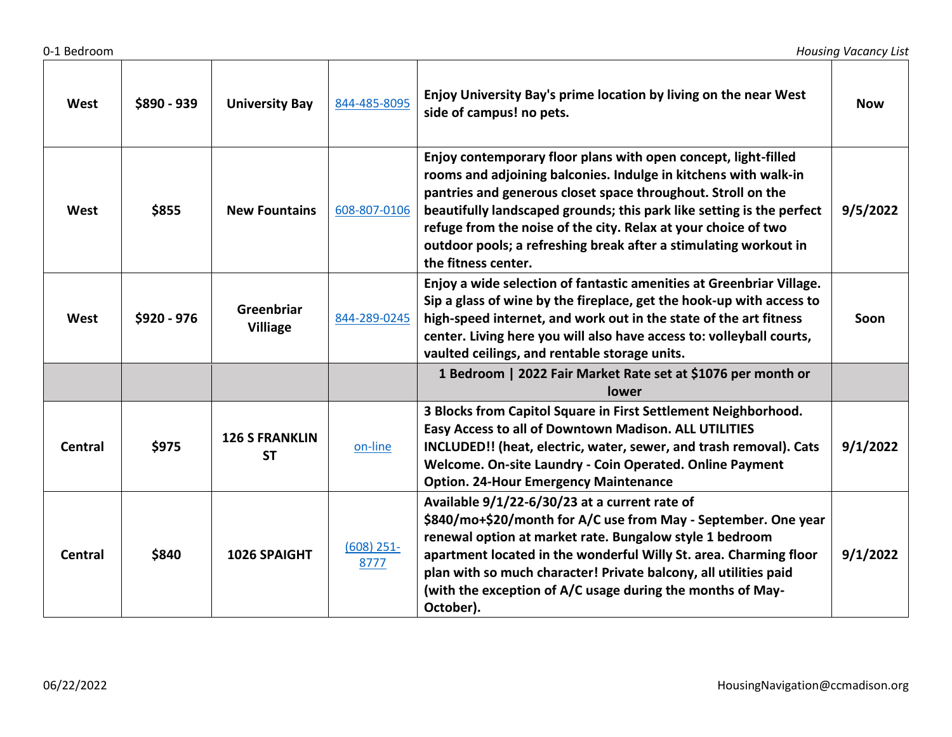| West           | \$890 - 939 | <b>University Bay</b>              | 844-485-8095         | Enjoy University Bay's prime location by living on the near West<br>side of campus! no pets.                                                                                                                                                                                                                                                                                                                                            | <b>Now</b> |
|----------------|-------------|------------------------------------|----------------------|-----------------------------------------------------------------------------------------------------------------------------------------------------------------------------------------------------------------------------------------------------------------------------------------------------------------------------------------------------------------------------------------------------------------------------------------|------------|
| West           | \$855       | <b>New Fountains</b>               | 608-807-0106         | Enjoy contemporary floor plans with open concept, light-filled<br>rooms and adjoining balconies. Indulge in kitchens with walk-in<br>pantries and generous closet space throughout. Stroll on the<br>beautifully landscaped grounds; this park like setting is the perfect<br>refuge from the noise of the city. Relax at your choice of two<br>outdoor pools; a refreshing break after a stimulating workout in<br>the fitness center. | 9/5/2022   |
| West           | \$920 - 976 | Greenbriar<br><b>Villiage</b>      | 844-289-0245         | Enjoy a wide selection of fantastic amenities at Greenbriar Village.<br>Sip a glass of wine by the fireplace, get the hook-up with access to<br>high-speed internet, and work out in the state of the art fitness<br>center. Living here you will also have access to: volleyball courts,<br>vaulted ceilings, and rentable storage units.                                                                                              | Soon       |
|                |             |                                    |                      | 1 Bedroom   2022 Fair Market Rate set at \$1076 per month or<br>lower                                                                                                                                                                                                                                                                                                                                                                   |            |
| <b>Central</b> | \$975       | <b>126 S FRANKLIN</b><br><b>ST</b> | on-line              | 3 Blocks from Capitol Square in First Settlement Neighborhood.<br>Easy Access to all of Downtown Madison. ALL UTILITIES<br>INCLUDED!! (heat, electric, water, sewer, and trash removal). Cats<br>Welcome. On-site Laundry - Coin Operated. Online Payment<br><b>Option. 24-Hour Emergency Maintenance</b>                                                                                                                               | 9/1/2022   |
| <b>Central</b> | \$840       | 1026 SPAIGHT                       | $(608)$ 251-<br>8777 | Available 9/1/22-6/30/23 at a current rate of<br>\$840/mo+\$20/month for A/C use from May - September. One year<br>renewal option at market rate. Bungalow style 1 bedroom<br>apartment located in the wonderful Willy St. area. Charming floor<br>plan with so much character! Private balcony, all utilities paid<br>(with the exception of A/C usage during the months of May-<br>October).                                          | 9/1/2022   |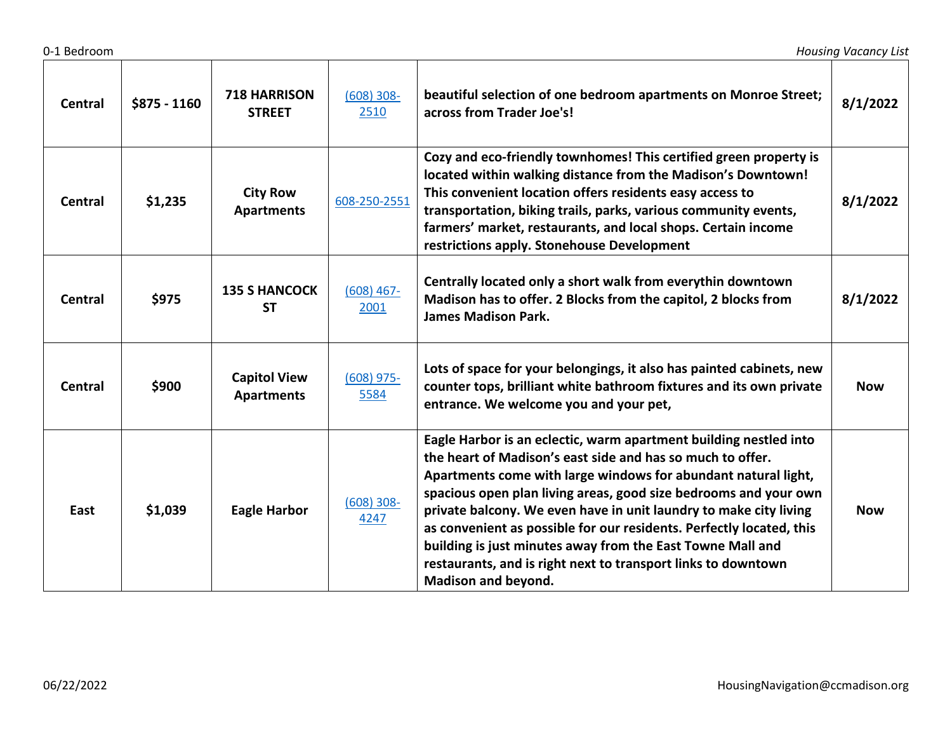| <b>Central</b> | $$875 - 1160$ | <b>718 HARRISON</b><br><b>STREET</b>     | $(608)$ 308-<br>2510  | beautiful selection of one bedroom apartments on Monroe Street;<br>across from Trader Joe's!                                                                                                                                                                                                                                                                                                                                                                                                                                                                             | 8/1/2022   |
|----------------|---------------|------------------------------------------|-----------------------|--------------------------------------------------------------------------------------------------------------------------------------------------------------------------------------------------------------------------------------------------------------------------------------------------------------------------------------------------------------------------------------------------------------------------------------------------------------------------------------------------------------------------------------------------------------------------|------------|
| <b>Central</b> | \$1,235       | <b>City Row</b><br><b>Apartments</b>     | 608-250-2551          | Cozy and eco-friendly townhomes! This certified green property is<br>located within walking distance from the Madison's Downtown!<br>This convenient location offers residents easy access to<br>transportation, biking trails, parks, various community events,<br>farmers' market, restaurants, and local shops. Certain income<br>restrictions apply. Stonehouse Development                                                                                                                                                                                          | 8/1/2022   |
| <b>Central</b> | \$975         | <b>135 S HANCOCK</b><br><b>ST</b>        | $(608)$ 467-<br>2001  | Centrally located only a short walk from everythin downtown<br>Madison has to offer. 2 Blocks from the capitol, 2 blocks from<br><b>James Madison Park.</b>                                                                                                                                                                                                                                                                                                                                                                                                              | 8/1/2022   |
| <b>Central</b> | \$900         | <b>Capitol View</b><br><b>Apartments</b> | $(608)$ 975-<br>5584  | Lots of space for your belongings, it also has painted cabinets, new<br>counter tops, brilliant white bathroom fixtures and its own private<br>entrance. We welcome you and your pet,                                                                                                                                                                                                                                                                                                                                                                                    | <b>Now</b> |
| East           | \$1,039       | <b>Eagle Harbor</b>                      | $(608) 308 -$<br>4247 | Eagle Harbor is an eclectic, warm apartment building nestled into<br>the heart of Madison's east side and has so much to offer.<br>Apartments come with large windows for abundant natural light,<br>spacious open plan living areas, good size bedrooms and your own<br>private balcony. We even have in unit laundry to make city living<br>as convenient as possible for our residents. Perfectly located, this<br>building is just minutes away from the East Towne Mall and<br>restaurants, and is right next to transport links to downtown<br>Madison and beyond. | <b>Now</b> |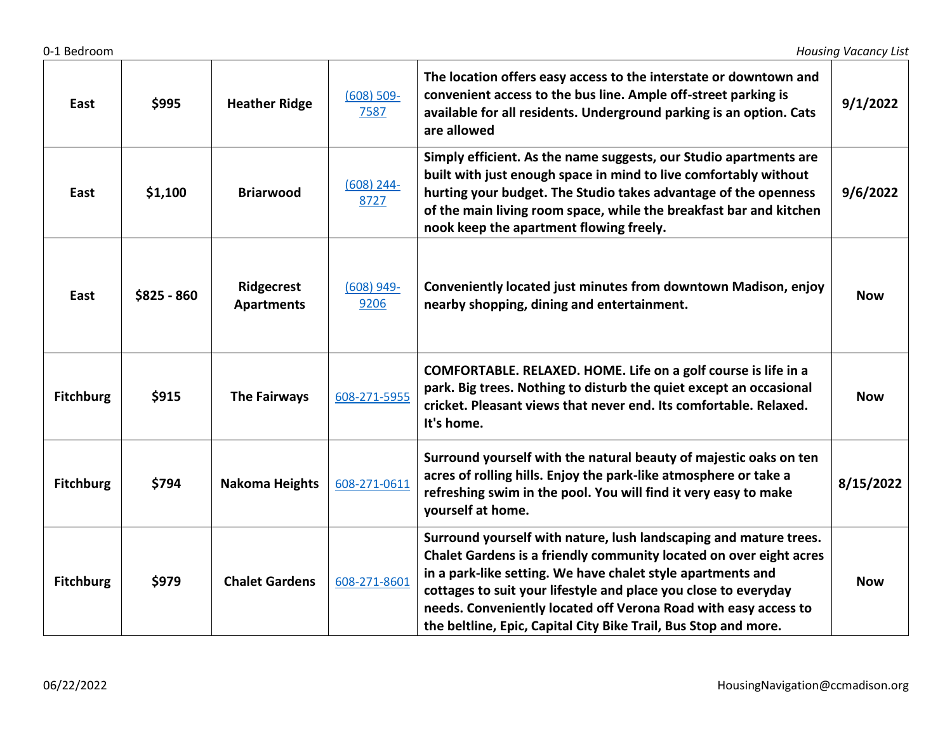| East             | \$995        | <b>Heather Ridge</b>            | $(608) 509 -$<br>7587 | The location offers easy access to the interstate or downtown and<br>convenient access to the bus line. Ample off-street parking is<br>available for all residents. Underground parking is an option. Cats<br>are allowed                                                                                                                                                                                       | 9/1/2022   |
|------------------|--------------|---------------------------------|-----------------------|-----------------------------------------------------------------------------------------------------------------------------------------------------------------------------------------------------------------------------------------------------------------------------------------------------------------------------------------------------------------------------------------------------------------|------------|
| East             | \$1,100      | <b>Briarwood</b>                | $(608)$ 244-<br>8727  | Simply efficient. As the name suggests, our Studio apartments are<br>built with just enough space in mind to live comfortably without<br>hurting your budget. The Studio takes advantage of the openness<br>of the main living room space, while the breakfast bar and kitchen<br>nook keep the apartment flowing freely.                                                                                       | 9/6/2022   |
| East             | $$825 - 860$ | Ridgecrest<br><b>Apartments</b> | $(608)$ 949-<br>9206  | Conveniently located just minutes from downtown Madison, enjoy<br>nearby shopping, dining and entertainment.                                                                                                                                                                                                                                                                                                    | <b>Now</b> |
| <b>Fitchburg</b> | \$915        | <b>The Fairways</b>             | 608-271-5955          | COMFORTABLE. RELAXED. HOME. Life on a golf course is life in a<br>park. Big trees. Nothing to disturb the quiet except an occasional<br>cricket. Pleasant views that never end. Its comfortable. Relaxed.<br>It's home.                                                                                                                                                                                         | <b>Now</b> |
| <b>Fitchburg</b> | \$794        | <b>Nakoma Heights</b>           | 608-271-0611          | Surround yourself with the natural beauty of majestic oaks on ten<br>acres of rolling hills. Enjoy the park-like atmosphere or take a<br>refreshing swim in the pool. You will find it very easy to make<br>yourself at home.                                                                                                                                                                                   | 8/15/2022  |
| <b>Fitchburg</b> | \$979        | <b>Chalet Gardens</b>           | 608-271-8601          | Surround yourself with nature, lush landscaping and mature trees.<br>Chalet Gardens is a friendly community located on over eight acres<br>in a park-like setting. We have chalet style apartments and<br>cottages to suit your lifestyle and place you close to everyday<br>needs. Conveniently located off Verona Road with easy access to<br>the beltline, Epic, Capital City Bike Trail, Bus Stop and more. | <b>Now</b> |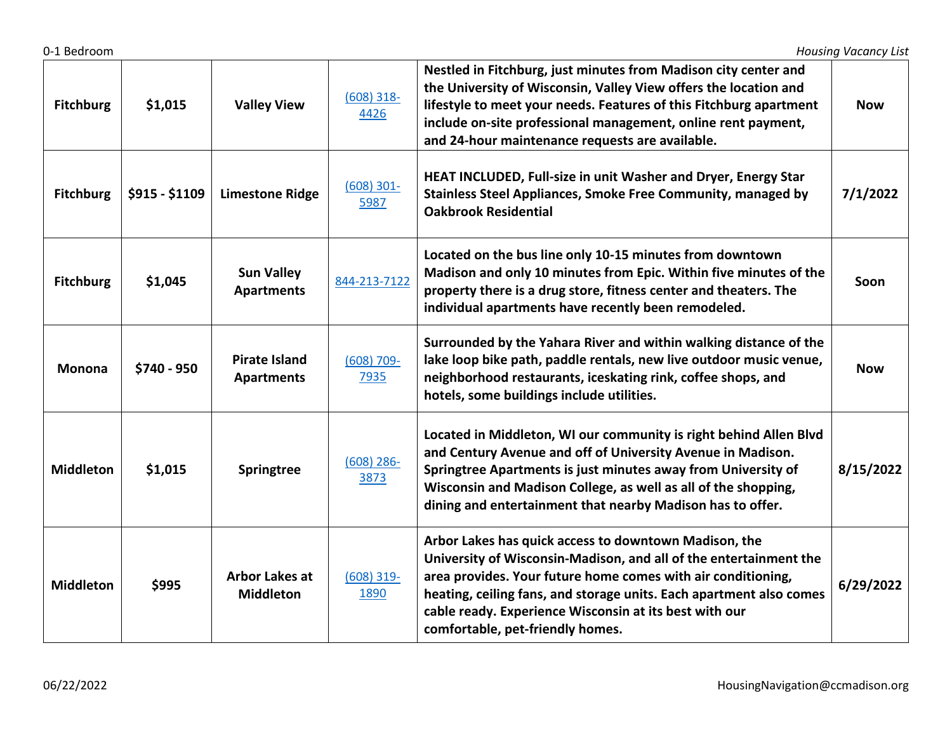| <b>Fitchburg</b> | \$1,015        | <b>Valley View</b>                        | $(608)$ 318-<br>4426  | Nestled in Fitchburg, just minutes from Madison city center and<br>the University of Wisconsin, Valley View offers the location and<br>lifestyle to meet your needs. Features of this Fitchburg apartment<br>include on-site professional management, online rent payment,<br>and 24-hour maintenance requests are available.                                   | <b>Now</b> |
|------------------|----------------|-------------------------------------------|-----------------------|-----------------------------------------------------------------------------------------------------------------------------------------------------------------------------------------------------------------------------------------------------------------------------------------------------------------------------------------------------------------|------------|
| <b>Fitchburg</b> | \$915 - \$1109 | <b>Limestone Ridge</b>                    | $(608)$ 301-<br>5987  | HEAT INCLUDED, Full-size in unit Washer and Dryer, Energy Star<br><b>Stainless Steel Appliances, Smoke Free Community, managed by</b><br><b>Oakbrook Residential</b>                                                                                                                                                                                            | 7/1/2022   |
| <b>Fitchburg</b> | \$1,045        | <b>Sun Valley</b><br><b>Apartments</b>    | 844-213-7122          | Located on the bus line only 10-15 minutes from downtown<br>Madison and only 10 minutes from Epic. Within five minutes of the<br>property there is a drug store, fitness center and theaters. The<br>individual apartments have recently been remodeled.                                                                                                        | Soon       |
| <b>Monona</b>    | \$740 - 950    | <b>Pirate Island</b><br><b>Apartments</b> | $(608) 709 -$<br>7935 | Surrounded by the Yahara River and within walking distance of the<br>lake loop bike path, paddle rentals, new live outdoor music venue,<br>neighborhood restaurants, iceskating rink, coffee shops, and<br>hotels, some buildings include utilities.                                                                                                            | <b>Now</b> |
| <b>Middleton</b> | \$1,015        | <b>Springtree</b>                         | $(608)$ 286-<br>3873  | Located in Middleton, WI our community is right behind Allen Blvd<br>and Century Avenue and off of University Avenue in Madison.<br>Springtree Apartments is just minutes away from University of<br>Wisconsin and Madison College, as well as all of the shopping,<br>dining and entertainment that nearby Madison has to offer.                               | 8/15/2022  |
| <b>Middleton</b> | \$995          | <b>Arbor Lakes at</b><br><b>Middleton</b> | $(608)$ 319-<br>1890  | Arbor Lakes has quick access to downtown Madison, the<br>University of Wisconsin-Madison, and all of the entertainment the<br>area provides. Your future home comes with air conditioning,<br>heating, ceiling fans, and storage units. Each apartment also comes<br>cable ready. Experience Wisconsin at its best with our<br>comfortable, pet-friendly homes. | 6/29/2022  |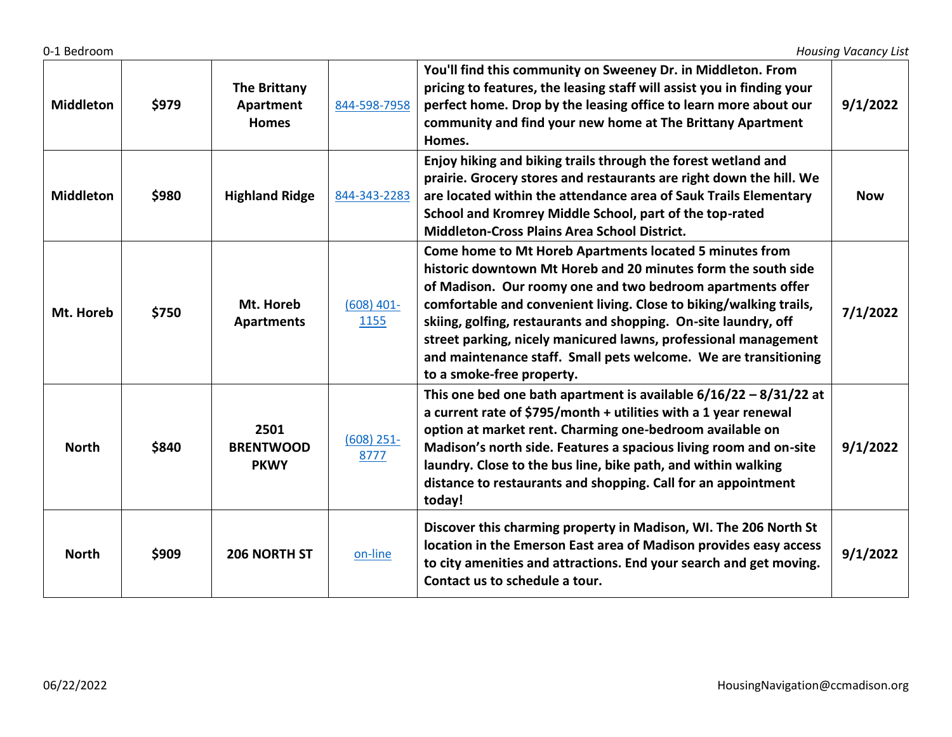| <b>Middleton</b> | \$979 | <b>The Brittany</b><br>Apartment<br><b>Homes</b> | 844-598-7958         | You'll find this community on Sweeney Dr. in Middleton. From<br>pricing to features, the leasing staff will assist you in finding your<br>perfect home. Drop by the leasing office to learn more about our<br>community and find your new home at The Brittany Apartment<br>Homes.                                                                                                                                                                                                                 | 9/1/2022   |
|------------------|-------|--------------------------------------------------|----------------------|----------------------------------------------------------------------------------------------------------------------------------------------------------------------------------------------------------------------------------------------------------------------------------------------------------------------------------------------------------------------------------------------------------------------------------------------------------------------------------------------------|------------|
| <b>Middleton</b> | \$980 | <b>Highland Ridge</b>                            | 844-343-2283         | Enjoy hiking and biking trails through the forest wetland and<br>prairie. Grocery stores and restaurants are right down the hill. We<br>are located within the attendance area of Sauk Trails Elementary<br>School and Kromrey Middle School, part of the top-rated<br><b>Middleton-Cross Plains Area School District.</b>                                                                                                                                                                         | <b>Now</b> |
| Mt. Horeb        | \$750 | Mt. Horeb<br><b>Apartments</b>                   | $(608)$ 401-<br>1155 | Come home to Mt Horeb Apartments located 5 minutes from<br>historic downtown Mt Horeb and 20 minutes form the south side<br>of Madison. Our roomy one and two bedroom apartments offer<br>comfortable and convenient living. Close to biking/walking trails,<br>skiing, golfing, restaurants and shopping. On-site laundry, off<br>street parking, nicely manicured lawns, professional management<br>and maintenance staff. Small pets welcome. We are transitioning<br>to a smoke-free property. | 7/1/2022   |
| <b>North</b>     | \$840 | 2501<br><b>BRENTWOOD</b><br><b>PKWY</b>          | $(608)$ 251-<br>8777 | This one bed one bath apartment is available $6/16/22 - 8/31/22$ at<br>a current rate of \$795/month + utilities with a 1 year renewal<br>option at market rent. Charming one-bedroom available on<br>Madison's north side. Features a spacious living room and on-site<br>laundry. Close to the bus line, bike path, and within walking<br>distance to restaurants and shopping. Call for an appointment<br>today!                                                                                | 9/1/2022   |
| <b>North</b>     | \$909 | 206 NORTH ST                                     | on-line              | Discover this charming property in Madison, WI. The 206 North St<br>location in the Emerson East area of Madison provides easy access<br>to city amenities and attractions. End your search and get moving.<br>Contact us to schedule a tour.                                                                                                                                                                                                                                                      | 9/1/2022   |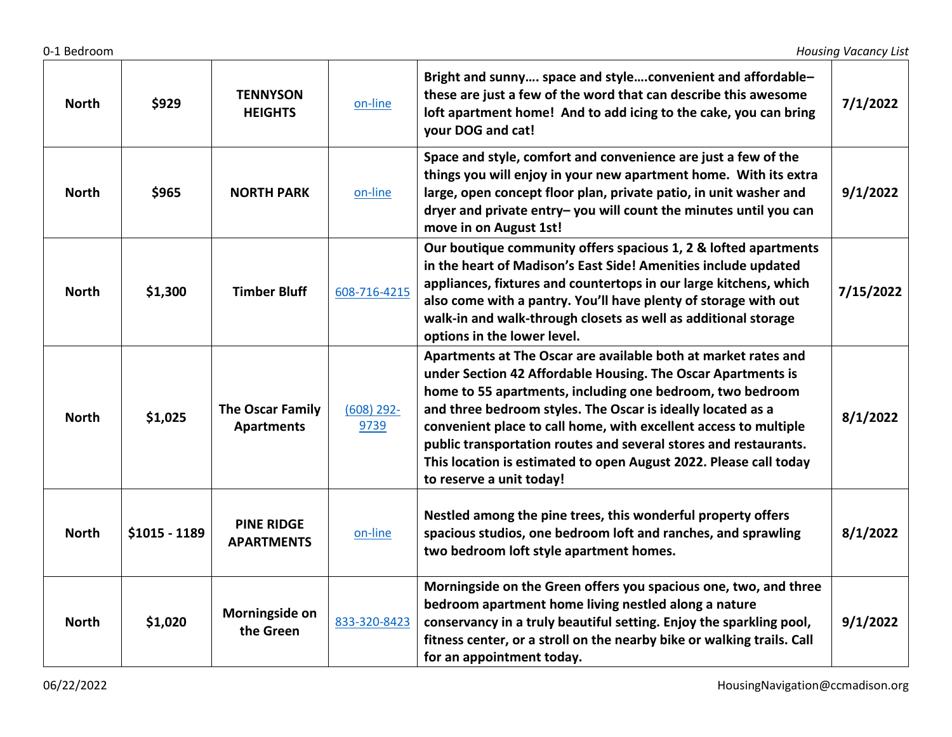| <b>North</b> | \$929         | <b>TENNYSON</b><br><b>HEIGHTS</b>      | on-line              | Bright and sunny space and styleconvenient and affordable-<br>these are just a few of the word that can describe this awesome<br>loft apartment home! And to add icing to the cake, you can bring<br>your DOG and cat!                                                                                                                                                                                                                                                                              | 7/1/2022  |
|--------------|---------------|----------------------------------------|----------------------|-----------------------------------------------------------------------------------------------------------------------------------------------------------------------------------------------------------------------------------------------------------------------------------------------------------------------------------------------------------------------------------------------------------------------------------------------------------------------------------------------------|-----------|
| <b>North</b> | \$965         | <b>NORTH PARK</b>                      | on-line              | Space and style, comfort and convenience are just a few of the<br>things you will enjoy in your new apartment home. With its extra<br>large, open concept floor plan, private patio, in unit washer and<br>dryer and private entry-you will count the minutes until you can<br>move in on August 1st!                                                                                                                                                                                               | 9/1/2022  |
| <b>North</b> | \$1,300       | <b>Timber Bluff</b>                    | 608-716-4215         | Our boutique community offers spacious 1, 2 & lofted apartments<br>in the heart of Madison's East Side! Amenities include updated<br>appliances, fixtures and countertops in our large kitchens, which<br>also come with a pantry. You'll have plenty of storage with out<br>walk-in and walk-through closets as well as additional storage<br>options in the lower level.                                                                                                                          | 7/15/2022 |
| <b>North</b> | \$1,025       | The Oscar Family<br><b>Apartments</b>  | $(608)$ 292-<br>9739 | Apartments at The Oscar are available both at market rates and<br>under Section 42 Affordable Housing. The Oscar Apartments is<br>home to 55 apartments, including one bedroom, two bedroom<br>and three bedroom styles. The Oscar is ideally located as a<br>convenient place to call home, with excellent access to multiple<br>public transportation routes and several stores and restaurants.<br>This location is estimated to open August 2022. Please call today<br>to reserve a unit today! | 8/1/2022  |
| <b>North</b> | \$1015 - 1189 | <b>PINE RIDGE</b><br><b>APARTMENTS</b> | on-line              | Nestled among the pine trees, this wonderful property offers<br>spacious studios, one bedroom loft and ranches, and sprawling<br>two bedroom loft style apartment homes.                                                                                                                                                                                                                                                                                                                            | 8/1/2022  |
| <b>North</b> | \$1,020       | Morningside on<br>the Green            | 833-320-8423         | Morningside on the Green offers you spacious one, two, and three<br>bedroom apartment home living nestled along a nature<br>conservancy in a truly beautiful setting. Enjoy the sparkling pool,<br>fitness center, or a stroll on the nearby bike or walking trails. Call<br>for an appointment today.                                                                                                                                                                                              | 9/1/2022  |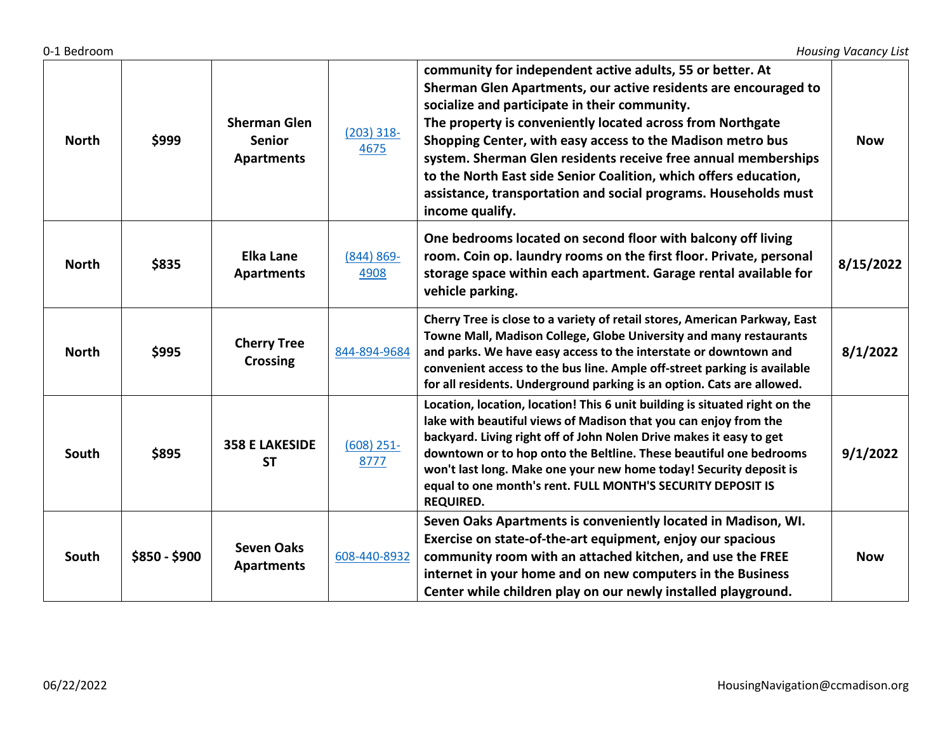| <b>North</b> | \$999         | <b>Sherman Glen</b><br><b>Senior</b><br><b>Apartments</b> | $(203)$ 318-<br>4675  | community for independent active adults, 55 or better. At<br>Sherman Glen Apartments, our active residents are encouraged to<br>socialize and participate in their community.<br>The property is conveniently located across from Northgate<br>Shopping Center, with easy access to the Madison metro bus<br>system. Sherman Glen residents receive free annual memberships<br>to the North East side Senior Coalition, which offers education,<br>assistance, transportation and social programs. Households must<br>income qualify. | <b>Now</b> |
|--------------|---------------|-----------------------------------------------------------|-----------------------|---------------------------------------------------------------------------------------------------------------------------------------------------------------------------------------------------------------------------------------------------------------------------------------------------------------------------------------------------------------------------------------------------------------------------------------------------------------------------------------------------------------------------------------|------------|
| <b>North</b> | \$835         | <b>Elka Lane</b><br><b>Apartments</b>                     | $(844) 869 -$<br>4908 | One bedrooms located on second floor with balcony off living<br>room. Coin op. laundry rooms on the first floor. Private, personal<br>storage space within each apartment. Garage rental available for<br>vehicle parking.                                                                                                                                                                                                                                                                                                            | 8/15/2022  |
| <b>North</b> | \$995         | <b>Cherry Tree</b><br><b>Crossing</b>                     | 844-894-9684          | Cherry Tree is close to a variety of retail stores, American Parkway, East<br>Towne Mall, Madison College, Globe University and many restaurants<br>and parks. We have easy access to the interstate or downtown and<br>convenient access to the bus line. Ample off-street parking is available<br>for all residents. Underground parking is an option. Cats are allowed.                                                                                                                                                            | 8/1/2022   |
| South        | \$895         | <b>358 E LAKESIDE</b><br><b>ST</b>                        | $(608)$ 251-<br>8777  | Location, location, location! This 6 unit building is situated right on the<br>lake with beautiful views of Madison that you can enjoy from the<br>backyard. Living right off of John Nolen Drive makes it easy to get<br>downtown or to hop onto the Beltline. These beautiful one bedrooms<br>won't last long. Make one your new home today! Security deposit is<br>equal to one month's rent. FULL MONTH'S SECURITY DEPOSIT IS<br><b>REQUIRED.</b>                                                                                 | 9/1/2022   |
| South        | \$850 - \$900 | <b>Seven Oaks</b><br><b>Apartments</b>                    | 608-440-8932          | Seven Oaks Apartments is conveniently located in Madison, WI.<br>Exercise on state-of-the-art equipment, enjoy our spacious<br>community room with an attached kitchen, and use the FREE<br>internet in your home and on new computers in the Business<br>Center while children play on our newly installed playground.                                                                                                                                                                                                               | <b>Now</b> |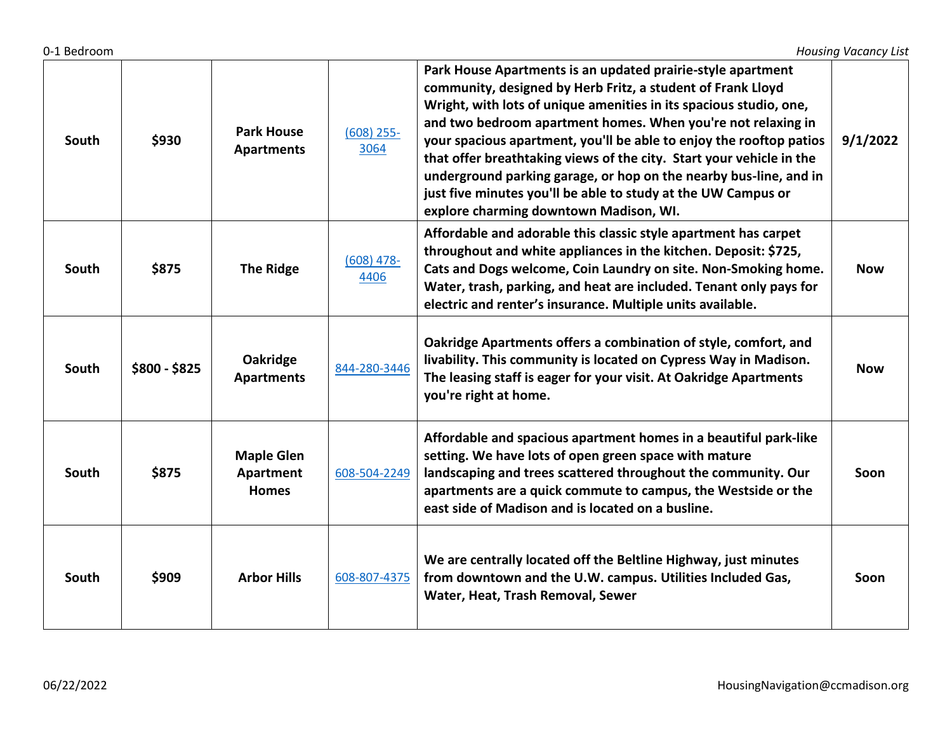| South | \$930         | <b>Park House</b><br><b>Apartments</b>         | $(608)$ 255-<br>3064 | Park House Apartments is an updated prairie-style apartment<br>community, designed by Herb Fritz, a student of Frank Lloyd<br>Wright, with lots of unique amenities in its spacious studio, one,<br>and two bedroom apartment homes. When you're not relaxing in<br>your spacious apartment, you'll be able to enjoy the rooftop patios<br>that offer breathtaking views of the city. Start your vehicle in the<br>underground parking garage, or hop on the nearby bus-line, and in<br>just five minutes you'll be able to study at the UW Campus or<br>explore charming downtown Madison, WI. | 9/1/2022   |
|-------|---------------|------------------------------------------------|----------------------|-------------------------------------------------------------------------------------------------------------------------------------------------------------------------------------------------------------------------------------------------------------------------------------------------------------------------------------------------------------------------------------------------------------------------------------------------------------------------------------------------------------------------------------------------------------------------------------------------|------------|
| South | \$875         | <b>The Ridge</b>                               | $(608)$ 478-<br>4406 | Affordable and adorable this classic style apartment has carpet<br>throughout and white appliances in the kitchen. Deposit: \$725,<br>Cats and Dogs welcome, Coin Laundry on site. Non-Smoking home.<br>Water, trash, parking, and heat are included. Tenant only pays for<br>electric and renter's insurance. Multiple units available.                                                                                                                                                                                                                                                        | <b>Now</b> |
| South | $$800 - $825$ | Oakridge<br><b>Apartments</b>                  | 844-280-3446         | Oakridge Apartments offers a combination of style, comfort, and<br>livability. This community is located on Cypress Way in Madison.<br>The leasing staff is eager for your visit. At Oakridge Apartments<br>you're right at home.                                                                                                                                                                                                                                                                                                                                                               | <b>Now</b> |
| South | \$875         | <b>Maple Glen</b><br>Apartment<br><b>Homes</b> | 608-504-2249         | Affordable and spacious apartment homes in a beautiful park-like<br>setting. We have lots of open green space with mature<br>landscaping and trees scattered throughout the community. Our<br>apartments are a quick commute to campus, the Westside or the<br>east side of Madison and is located on a busline.                                                                                                                                                                                                                                                                                | Soon       |
| South | \$909         | <b>Arbor Hills</b>                             | 608-807-4375         | We are centrally located off the Beltline Highway, just minutes<br>from downtown and the U.W. campus. Utilities Included Gas,<br>Water, Heat, Trash Removal, Sewer                                                                                                                                                                                                                                                                                                                                                                                                                              | Soon       |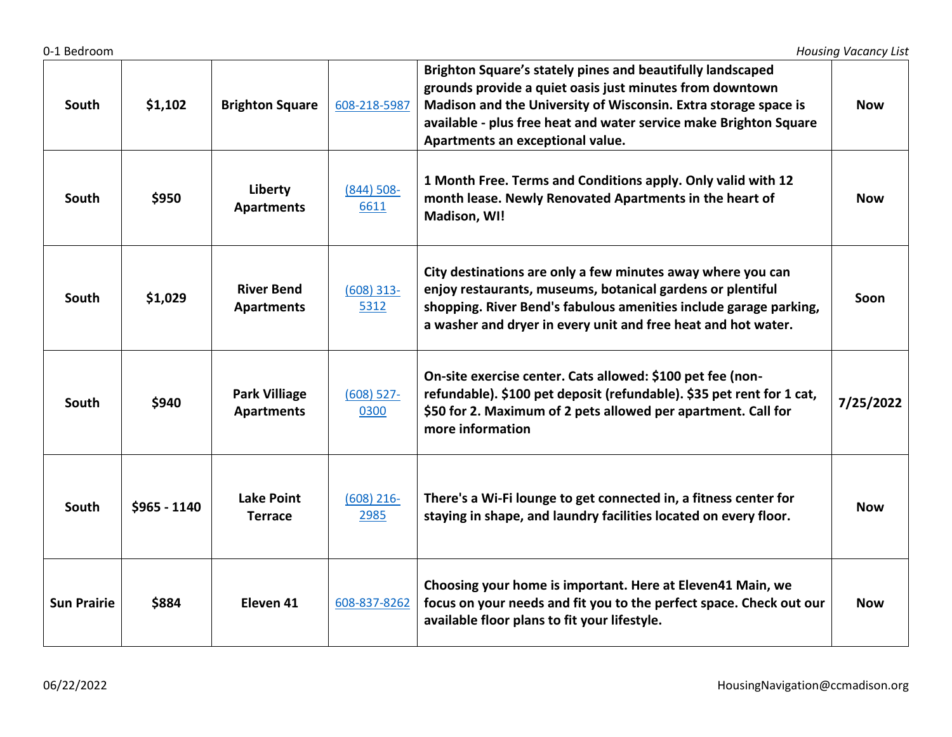| South              | \$1,102       | <b>Brighton Square</b>                    | 608-218-5987          | Brighton Square's stately pines and beautifully landscaped<br>grounds provide a quiet oasis just minutes from downtown<br>Madison and the University of Wisconsin. Extra storage space is<br>available - plus free heat and water service make Brighton Square<br>Apartments an exceptional value. | Now        |
|--------------------|---------------|-------------------------------------------|-----------------------|----------------------------------------------------------------------------------------------------------------------------------------------------------------------------------------------------------------------------------------------------------------------------------------------------|------------|
| South              | \$950         | Liberty<br><b>Apartments</b>              | $(844) 508 -$<br>6611 | 1 Month Free. Terms and Conditions apply. Only valid with 12<br>month lease. Newly Renovated Apartments in the heart of<br>Madison, WI!                                                                                                                                                            | <b>Now</b> |
| South              | \$1,029       | <b>River Bend</b><br><b>Apartments</b>    | $(608)$ 313-<br>5312  | City destinations are only a few minutes away where you can<br>enjoy restaurants, museums, botanical gardens or plentiful<br>shopping. River Bend's fabulous amenities include garage parking,<br>a washer and dryer in every unit and free heat and hot water.                                    | Soon       |
| South              | \$940         | <b>Park Villiage</b><br><b>Apartments</b> | $(608)$ 527-<br>0300  | On-site exercise center. Cats allowed: \$100 pet fee (non-<br>refundable). \$100 pet deposit (refundable). \$35 pet rent for 1 cat,<br>\$50 for 2. Maximum of 2 pets allowed per apartment. Call for<br>more information                                                                           | 7/25/2022  |
| South              | $$965 - 1140$ | <b>Lake Point</b><br><b>Terrace</b>       | $(608)$ 216-<br>2985  | There's a Wi-Fi lounge to get connected in, a fitness center for<br>staying in shape, and laundry facilities located on every floor.                                                                                                                                                               | <b>Now</b> |
| <b>Sun Prairie</b> | \$884         | Eleven <sub>41</sub>                      | 608-837-8262          | Choosing your home is important. Here at Eleven41 Main, we<br>focus on your needs and fit you to the perfect space. Check out our<br>available floor plans to fit your lifestyle.                                                                                                                  | <b>Now</b> |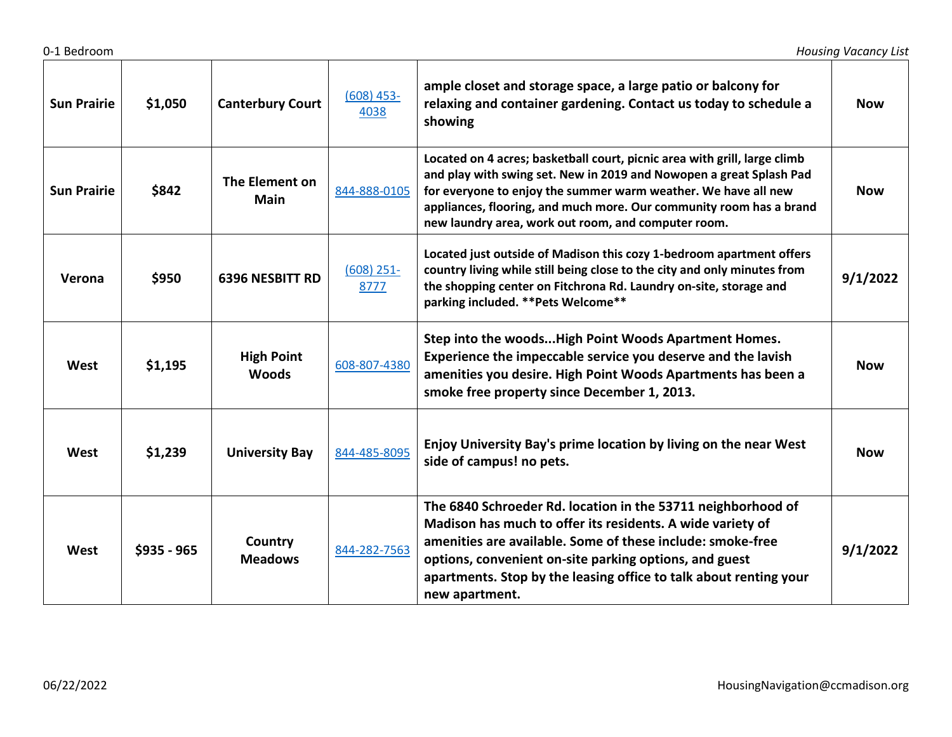| <b>Sun Prairie</b> | \$1,050     | <b>Canterbury Court</b>           | $(608)$ 453-<br>4038 | ample closet and storage space, a large patio or balcony for<br>relaxing and container gardening. Contact us today to schedule a<br>showing                                                                                                                                                                                                      | <b>Now</b> |
|--------------------|-------------|-----------------------------------|----------------------|--------------------------------------------------------------------------------------------------------------------------------------------------------------------------------------------------------------------------------------------------------------------------------------------------------------------------------------------------|------------|
| <b>Sun Prairie</b> | \$842       | The Element on<br>Main            | 844-888-0105         | Located on 4 acres; basketball court, picnic area with grill, large climb<br>and play with swing set. New in 2019 and Nowopen a great Splash Pad<br>for everyone to enjoy the summer warm weather. We have all new<br>appliances, flooring, and much more. Our community room has a brand<br>new laundry area, work out room, and computer room. | <b>Now</b> |
| Verona             | \$950       | <b>6396 NESBITT RD</b>            | $(608)$ 251-<br>8777 | Located just outside of Madison this cozy 1-bedroom apartment offers<br>country living while still being close to the city and only minutes from<br>the shopping center on Fitchrona Rd. Laundry on-site, storage and<br>parking included. ** Pets Welcome**                                                                                     | 9/1/2022   |
| West               | \$1,195     | <b>High Point</b><br><b>Woods</b> | 608-807-4380         | Step into the woodsHigh Point Woods Apartment Homes.<br>Experience the impeccable service you deserve and the lavish<br>amenities you desire. High Point Woods Apartments has been a<br>smoke free property since December 1, 2013.                                                                                                              | <b>Now</b> |
| West               | \$1,239     | <b>University Bay</b>             | 844-485-8095         | Enjoy University Bay's prime location by living on the near West<br>side of campus! no pets.                                                                                                                                                                                                                                                     | <b>Now</b> |
| West               | \$935 - 965 | Country<br><b>Meadows</b>         | 844-282-7563         | The 6840 Schroeder Rd. location in the 53711 neighborhood of<br>Madison has much to offer its residents. A wide variety of<br>amenities are available. Some of these include: smoke-free<br>options, convenient on-site parking options, and guest<br>apartments. Stop by the leasing office to talk about renting your<br>new apartment.        | 9/1/2022   |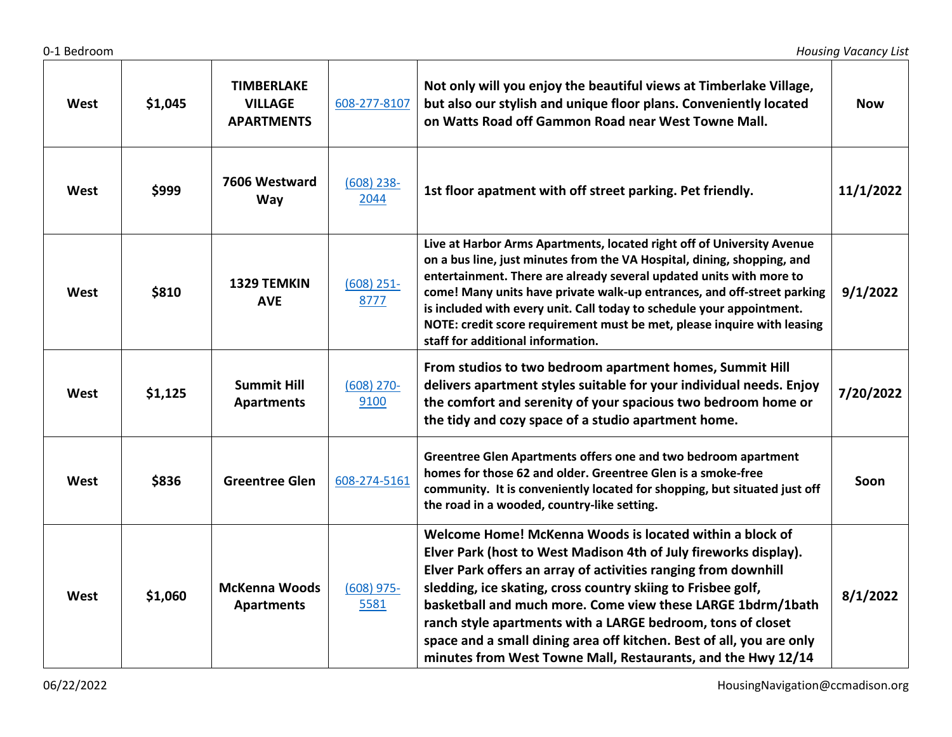| West | \$1,045 | <b>TIMBERLAKE</b><br><b>VILLAGE</b><br><b>APARTMENTS</b> | 608-277-8107         | Not only will you enjoy the beautiful views at Timberlake Village,<br>but also our stylish and unique floor plans. Conveniently located<br>on Watts Road off Gammon Road near West Towne Mall.                                                                                                                                                                                                                                                                                                                                       | <b>Now</b> |
|------|---------|----------------------------------------------------------|----------------------|--------------------------------------------------------------------------------------------------------------------------------------------------------------------------------------------------------------------------------------------------------------------------------------------------------------------------------------------------------------------------------------------------------------------------------------------------------------------------------------------------------------------------------------|------------|
| West | \$999   | 7606 Westward<br>Way                                     | $(608)$ 238-<br>2044 | 1st floor apatment with off street parking. Pet friendly.                                                                                                                                                                                                                                                                                                                                                                                                                                                                            | 11/1/2022  |
| West | \$810   | 1329 TEMKIN<br><b>AVE</b>                                | $(608)$ 251-<br>8777 | Live at Harbor Arms Apartments, located right off of University Avenue<br>on a bus line, just minutes from the VA Hospital, dining, shopping, and<br>entertainment. There are already several updated units with more to<br>come! Many units have private walk-up entrances, and off-street parking<br>is included with every unit. Call today to schedule your appointment.<br>NOTE: credit score requirement must be met, please inquire with leasing<br>staff for additional information.                                         | 9/1/2022   |
| West | \$1,125 | <b>Summit Hill</b><br><b>Apartments</b>                  | $(608)$ 270-<br>9100 | From studios to two bedroom apartment homes, Summit Hill<br>delivers apartment styles suitable for your individual needs. Enjoy<br>the comfort and serenity of your spacious two bedroom home or<br>the tidy and cozy space of a studio apartment home.                                                                                                                                                                                                                                                                              | 7/20/2022  |
| West | \$836   | <b>Greentree Glen</b>                                    | 608-274-5161         | Greentree Glen Apartments offers one and two bedroom apartment<br>homes for those 62 and older. Greentree Glen is a smoke-free<br>community. It is conveniently located for shopping, but situated just off<br>the road in a wooded, country-like setting.                                                                                                                                                                                                                                                                           | Soon       |
| West | \$1,060 | <b>McKenna Woods</b><br><b>Apartments</b>                | $(608)$ 975-<br>5581 | Welcome Home! McKenna Woods is located within a block of<br>Elver Park (host to West Madison 4th of July fireworks display).<br>Elver Park offers an array of activities ranging from downhill<br>sledding, ice skating, cross country skiing to Frisbee golf,<br>basketball and much more. Come view these LARGE 1bdrm/1bath<br>ranch style apartments with a LARGE bedroom, tons of closet<br>space and a small dining area off kitchen. Best of all, you are only<br>minutes from West Towne Mall, Restaurants, and the Hwy 12/14 | 8/1/2022   |